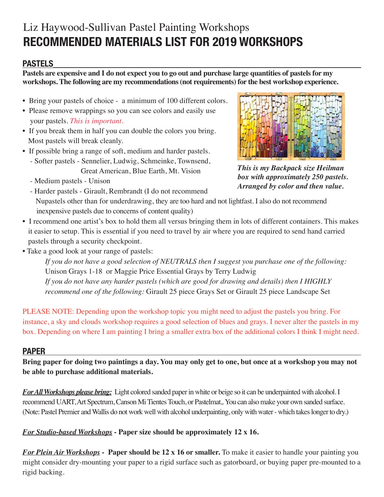# Liz Haywood-Sullivan Pastel Painting Workshops **RECOMMENDED MATERIALS LIST FOR 2019 WORKSHOPS**

## **PASTELS**

**Pastels are expensive and I do not expect you to go out and purchase large quantities of pastels for my workshops. The following are my recommendations (not requirements) for the best workshop experience.**

- Bring your pastels of choice a minimum of 100 different colors.
- Please remove wrappings so you can see colors and easily use your pastels. *This is important.*
- If you break them in half you can double the colors you bring. Most pastels will break cleanly.
- If possible bring a range of soft, medium and harder pastels. - Softer pastels - Sennelier, Ludwig, Schmeinke, Townsend, Great American, Blue Earth, Mt. Vision
	- Medium pastels Unison



*This is my Backpack size Heilman box with approximately 250 pastels. Arranged by color and then value.*

- Harder pastels Girault, Rembrandt (I do not recommend Nupastels other than for underdrawing, they are too hard and not lightfast. I also do not recommend inexpensive pastels due to concerns of content quality)
- I recommend one artist's box to hold them all versus bringing them in lots of different containers. This makes it easier to setup. This is essential if you need to travel by air where you are required to send hand carried pastels through a security checkpoint.
- Take a good look at your range of pastels:

*If you do not have a good selection of NEUTRALS then I suggest you purchase one of the following:* Unison Grays 1-18 or Maggie Price Essential Grays by Terry Ludwig *If you do not have any harder pastels (which are good for drawing and details) then I HIGHLY recommend one of the following:* Girault 25 piece Grays Set or Girault 25 piece Landscape Set

PLEASE NOTE: Depending upon the workshop topic you might need to adjust the pastels you bring. For instance, a sky and clouds workshop requires a good selection of blues and grays. I never alter the pastels in my box. Depending on where I am painting I bring a smaller extra box of the additional colors I think I might need.

#### **PAPER**

**Bring paper for doing two paintings a day. You may only get to one, but once at a workshop you may not be able to purchase additional materials.** 

*For All Workshops please bring:* Light colored sanded paper in white or beige so it can be underpainted with alcohol. I recommend UART, Art Spectrum, Canson Mi Tientes Touch, or Pastelmat,. You can also make your own sanded surface. (Note: Pastel Premier and Wallis do not work well with alcohol underpainting, only with water - which takes longer to dry.)

#### *For Studio-based Workshops* **- Paper size should be approximately 12 x 16.**

*For Plein Air Workshops* **- Paper should be 12 x 16 or smaller.** To make it easier to handle your painting you might consider dry-mounting your paper to a rigid surface such as gatorboard, or buying paper pre-mounted to a rigid backing.